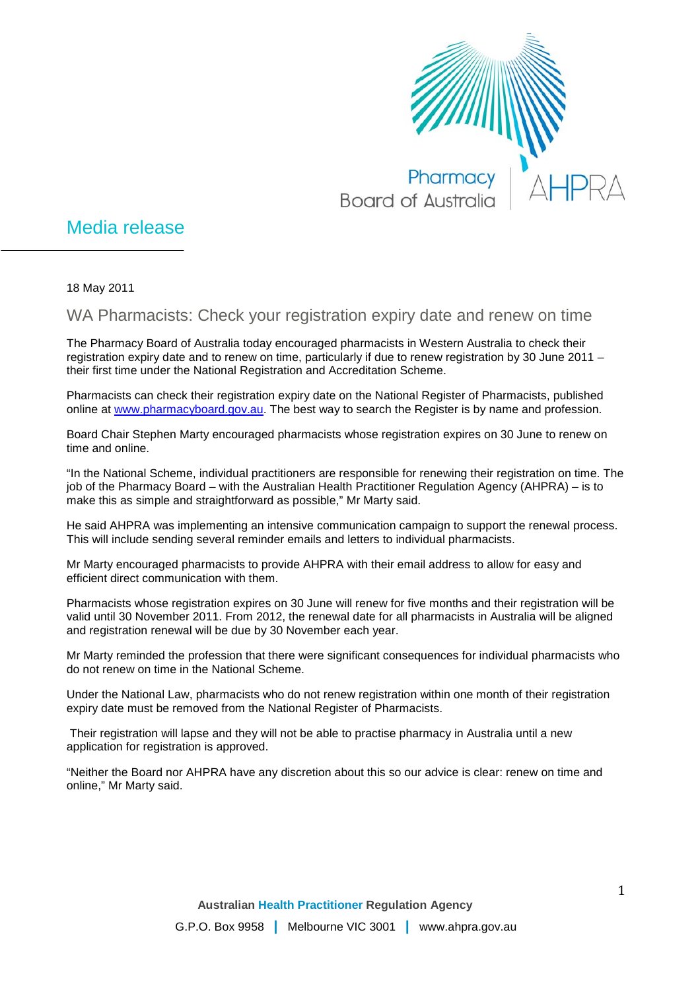

## Media release

18 May 2011

WA Pharmacists: Check your registration expiry date and renew on time

The Pharmacy Board of Australia today encouraged pharmacists in Western Australia to check their registration expiry date and to renew on time, particularly if due to renew registration by 30 June 2011 – their first time under the National Registration and Accreditation Scheme.

Pharmacists can check their registration expiry date on the National Register of Pharmacists, published online at [www.pharmacyboard.gov.au.](http://www.pharmacyboard.gov.au/) The best way to search the Register is by name and profession.

Board Chair Stephen Marty encouraged pharmacists whose registration expires on 30 June to renew on time and online.

"In the National Scheme, individual practitioners are responsible for renewing their registration on time. The job of the Pharmacy Board – with the Australian Health Practitioner Regulation Agency (AHPRA) – is to make this as simple and straightforward as possible," Mr Marty said.

He said AHPRA was implementing an intensive communication campaign to support the renewal process. This will include sending several reminder emails and letters to individual pharmacists.

Mr Marty encouraged pharmacists to provide AHPRA with their email address to allow for easy and efficient direct communication with them.

Pharmacists whose registration expires on 30 June will renew for five months and their registration will be valid until 30 November 2011. From 2012, the renewal date for all pharmacists in Australia will be aligned and registration renewal will be due by 30 November each year.

Mr Marty reminded the profession that there were significant consequences for individual pharmacists who do not renew on time in the National Scheme.

Under the National Law, pharmacists who do not renew registration within one month of their registration expiry date must be removed from the National Register of Pharmacists.

Their registration will lapse and they will not be able to practise pharmacy in Australia until a new application for registration is approved.

"Neither the Board nor AHPRA have any discretion about this so our advice is clear: renew on time and online," Mr Marty said.